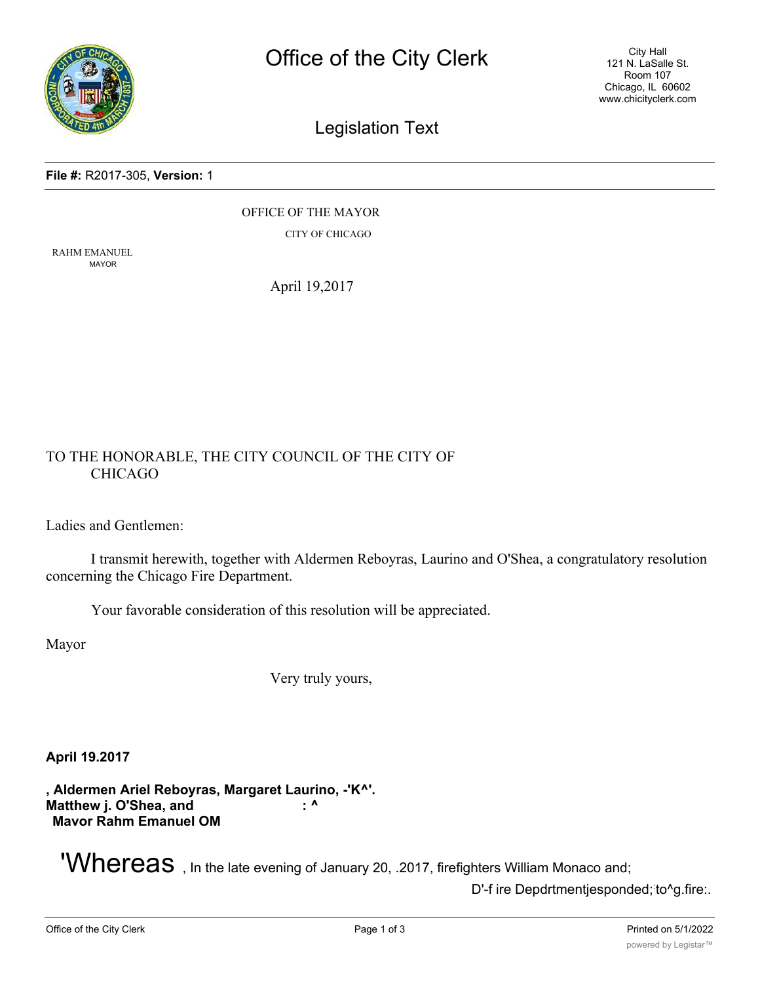

City Hall 121 N. LaSalle St. Room 107 Chicago, IL 60602 www.chicityclerk.com

# Legislation Text

#### **File #:** R2017-305, **Version:** 1

OFFICE OF THE MAYOR CITY OF CHICAGO

RAHM EMANUEL MAYOR

April 19,2017

# TO THE HONORABLE, THE CITY COUNCIL OF THE CITY OF CHICAGO

Ladies and Gentlemen:

I transmit herewith, together with Aldermen Reboyras, Laurino and O'Shea, a congratulatory resolution concerning the Chicago Fire Department.

Your favorable consideration of this resolution will be appreciated.

Mayor

Very truly yours,

**April 19.2017**

**, Aldermen Ariel Reboyras, Margaret Laurino, -'K^'. Matthew j. O'Shea, and**  $\cdot$  **^ : ^ Mavor Rahm Emanuel OM**

**'Whereas**, In the late evening of January 20, .2017, firefighters William Monaco and;

D'-f ire Depdrtmentjesponded; to^g.fire:.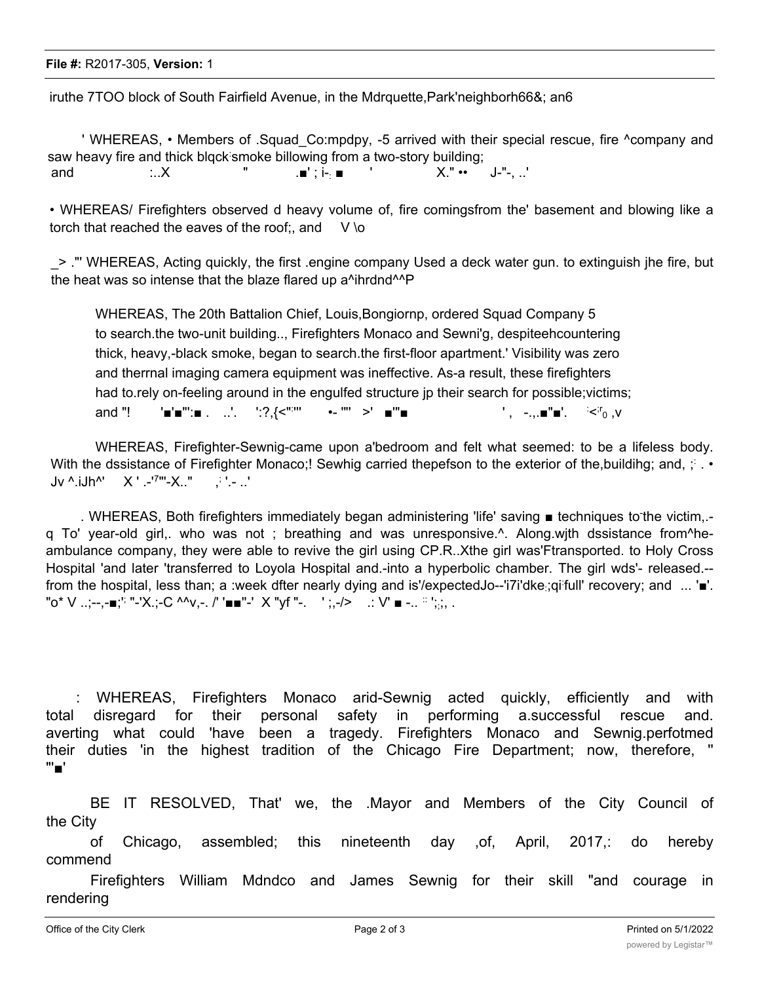iruthe 7TOO block of South Fairfield Avenue, in the Mdrquette,Park'neighborh66&; an6

' WHEREAS, • Members of .Squad\_Co:mpdpy, -5 arrived with their special rescue, fire ^company and saw heavy fire and thick blqck smoke billowing from a two-story building; and :..X " .■' ; i-: ■ ' X." •• J-"-, ..'

• WHEREAS/ Firefighters observed d heavy volume of, fire comingsfrom the' basement and blowing like a torch that reached the eaves of the roof:, and  $V \ o$ 

\_> ."' WHEREAS, Acting quickly, the first .engine company Used a deck water gun. to extinguish jhe fire, but the heat was so intense that the blaze flared up a^ihrdnd^^P

WHEREAS, The 20th Battalion Chief, Louis,Bongiornp, ordered Squad Company 5 to search.the two-unit building.., Firefighters Monaco and Sewni'g, despiteehcountering thick, heavy,-black smoke, began to search.the first-floor apartment.' Visibility was zero and therrnal imaging camera equipment was ineffective. As-a result, these firefighters had to.rely on-feeling around in the engulfed structure jp their search for possible;victims; and "!  $\blacksquare' = \blacksquare \blacksquare'' : \blacksquare$ . ...'.  $\blacksquare' : ?$ . {<":" ''' •- '"' >' ■'"■ ' , -.,.■"■'. :  $\leq$ <sup>r</sup><sub>0</sub>  $\leq$ 

WHEREAS, Firefighter-Sewnig-came upon a'bedroom and felt what seemed: to be a lifeless body. With the dssistance of Firefighter Monaco;! Sewhig carried thepefson to the exterior of the,buildihg; and, ; : . •  $Jv^{\wedge}$  iJh<sup> $\wedge$ </sup>  $X'$  .-'<sup>7</sup>"'-X.." '.- ..'

. WHEREAS, Both firefighters immediately began administering 'life' saving ■ techniques to the victim,.q To' year-old girl,. who was not ; breathing and was unresponsive.^. Along.wjth dssistance from^heambulance company, they were able to revive the girl using CP.R..Xthe girl was'Ftransported. to Holy Cross Hospital 'and later 'transferred to Loyola Hospital and.-into a hyperbolic chamber. The girl wds'- released.- from the hospital, less than; a :week dfter nearly dying and is'/expectedJo--'i7i'dke;qi full' recovery; and ... '■'. "o\* V ..;--,-∎;'<sup>;</sup> "-'X.;-C ^^v,-. /' '■■''-' × "yf ''-. ' ;,-/> .: V' ■ -.. <sup>∷ י</sup>;;,, .

: WHEREAS, Firefighters Monaco arid-Sewnig acted quickly, efficiently and with total disregard for their personal safety in performing a.successful rescue and. averting what could 'have been a tragedy. Firefighters Monaco and Sewnig.perfotmed their duties 'in the highest tradition of the Chicago Fire Department; now, therefore, '' "'■'

BE IT RESOLVED, That' we, the .Mayor and Members of the City Council of the City

of Chicago, assembled; this nineteenth day ,of, April, 2017,: do hereby commend

Firefighters William Mdndco and James Sewnig for their skill "and courage in rendering